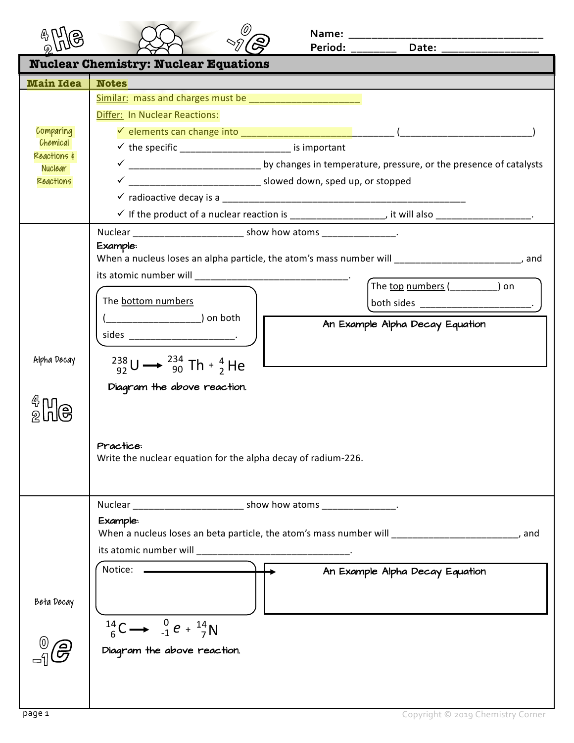|                                                                     | Date: $\overline{\phantom{a}}$<br>Period: ________                                                                                                                                                                                                                                                                                                                                                                                  |  |  |  |
|---------------------------------------------------------------------|-------------------------------------------------------------------------------------------------------------------------------------------------------------------------------------------------------------------------------------------------------------------------------------------------------------------------------------------------------------------------------------------------------------------------------------|--|--|--|
| <b>Nuclear Chemistry: Nuclear Equations</b>                         |                                                                                                                                                                                                                                                                                                                                                                                                                                     |  |  |  |
| <b>Main Idea</b>                                                    | <b>Notes</b>                                                                                                                                                                                                                                                                                                                                                                                                                        |  |  |  |
| Comparing<br>Chemical<br>Reactions &<br><b>Nuclear</b><br>Reactions | Differ: In Nuclear Reactions:<br>$\checkmark$ the specific _______________________ is important<br>$\checkmark$ If the product of a nuclear reaction is ____________________, it will also ___________________.                                                                                                                                                                                                                     |  |  |  |
| Alpha Decay                                                         | Example:<br>When a nucleus loses an alpha particle, the atom's mass number will ________________________, and<br>its atomic number will _________________________________.<br>The top numbers ( ) on<br>The bottom numbers<br>An Example Alpha Decay Equation<br>$^{238}_{92}U \rightarrow ^{234}_{90}Th + ^{4}_{2}He$<br>Diagram the above reaction.<br>Practice:<br>Write the nuclear equation for the alpha decay of radium-226. |  |  |  |
| Beta Decay                                                          | Nuclear __________________________ show how atoms _________________.<br>Example:<br>, and<br>Notice: ____________<br>An Example Alpha Decay Equation<br>$^{14}_{6}$ C $\rightarrow$ $^{0}_{-1}$ e + $^{14}_{7}$ N<br>Diagram the above reaction.                                                                                                                                                                                    |  |  |  |